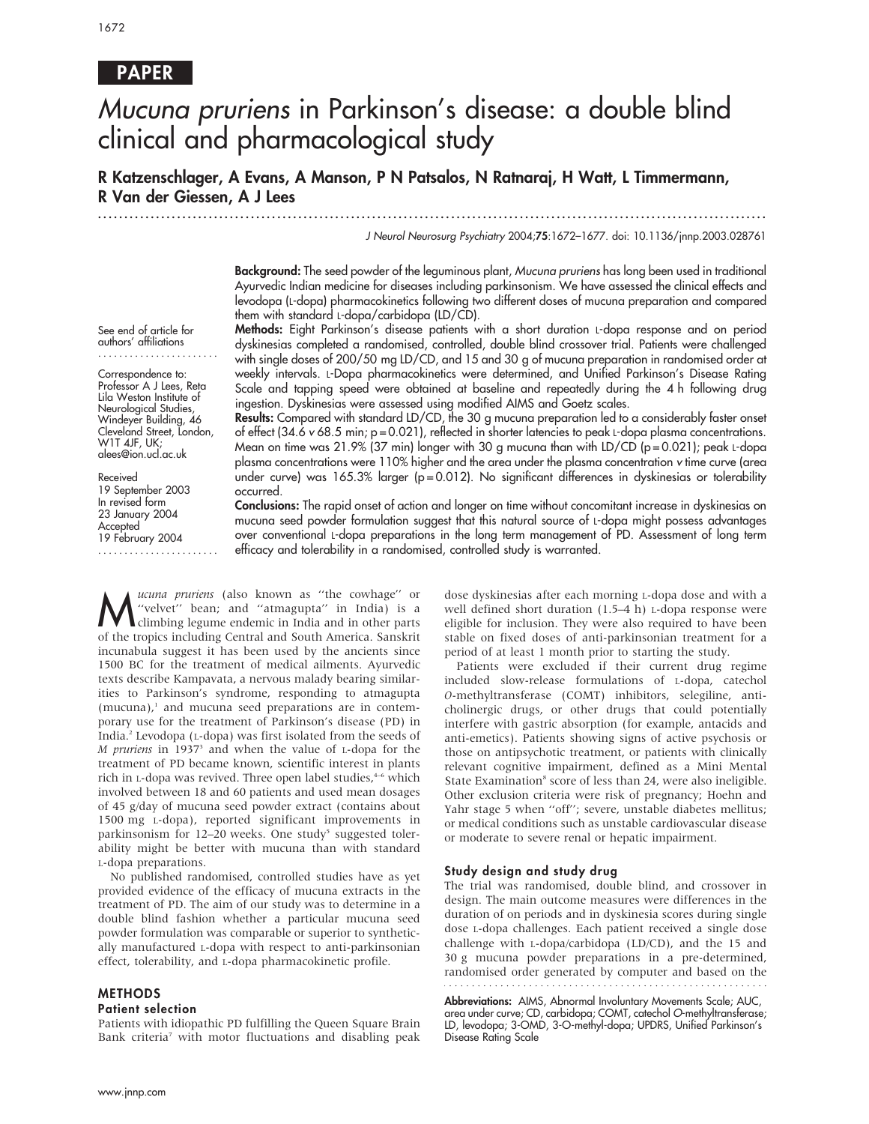# PAPER

# Mucuna pruriens in Parkinson's disease: a double blind clinical and pharmacological study

R Katzenschlager, A Evans, A Manson, P N Patsalos, N Ratnaraj, H Watt, L Timmermann, R Van der Giessen, A J Lees

...............................................................................................................................

J Neurol Neurosurg Psychiatry 2004;75:1672–1677. doi: 10.1136/jnnp.2003.028761

Background: The seed powder of the leguminous plant, Mucuna pruriens has long been used in traditional Ayurvedic Indian medicine for diseases including parkinsonism. We have assessed the clinical effects and levodopa (L-dopa) pharmacokinetics following two different doses of mucuna preparation and compared them with standard L-dopa/carbidopa (LD/CD).

See end of article for authors' affiliations .......................

Correspondence to: Professor A J Lees, Reta Lila Weston Institute of Neurological Studies, Windeyer Building, 46 Cleveland Street, London, W1T 4JF, UK; alees@ion.ucl.ac.uk

Received 19 September 2003 In revised form 23 January 2004 **Accepted** 19 February 2004

Methods: Eight Parkinson's disease patients with a short duration L-dopa response and on period dyskinesias completed a randomised, controlled, double blind crossover trial. Patients were challenged with single doses of 200/50 mg LD/CD, and 15 and 30 g of mucuna preparation in randomised order at weekly intervals. L-Dopa pharmacokinetics were determined, and Unified Parkinson's Disease Rating Scale and tapping speed were obtained at baseline and repeatedly during the 4 h following drug ingestion. Dyskinesias were assessed using modified AIMS and Goetz scales.

Results: Compared with standard LD/CD, the 30 g mucuna preparation led to a considerably faster onset of effect (34.6 v 68.5 min; p = 0.021), reflected in shorter latencies to peak L-dopa plasma concentrations. Mean on time was 21.9% (37 min) longer with 30 g mucuna than with LD/CD ( $p = 0.021$ ); peak L-dopa plasma concentrations were 110% higher and the area under the plasma concentration v time curve (area under curve) was  $165.3\%$  larger (p=0.012). No significant differences in dyskinesias or tolerability occurred.

Conclusions: The rapid onset of action and longer on time without concomitant increase in dyskinesias on mucuna seed powder formulation suggest that this natural source of L-dopa might possess advantages over conventional L-dopa preparations in the long term management of PD. Assessment of long term efficacy and tolerability in a randomised, controlled study is warranted.

*ucuna pruriens* (also known as "the cowhage" or<br>
"velvet" bean; and "atmagupta" in India) is a<br>
climbing legume endemic in India and in other parts<br>
of the tronics including Central and South America Sanskrit ''velvet'' bean; and ''atmagupta'' in India) is a climbing legume endemic in India and in other parts of the tropics including Central and South America. Sanskrit incunabula suggest it has been used by the ancients since 1500 BC for the treatment of medical ailments. Ayurvedic texts describe Kampavata, a nervous malady bearing similarities to Parkinson's syndrome, responding to atmagupta  $(mucuna)<sup>1</sup>$  and mucuna seed preparations are in contemporary use for the treatment of Parkinson's disease (PD) in India.2 Levodopa (L-dopa) was first isolated from the seeds of  $M$  pruriens in 1937<sup>3</sup> and when the value of  $L$ -dopa for the treatment of PD became known, scientific interest in plants rich in L-dopa was revived. Three open label studies,<sup>4-6</sup> which involved between 18 and 60 patients and used mean dosages of 45 g/day of mucuna seed powder extract (contains about 1500 mg L-dopa), reported significant improvements in parkinsonism for 12–20 weeks. One study<sup>5</sup> suggested tolerability might be better with mucuna than with standard L-dopa preparations.

No published randomised, controlled studies have as yet provided evidence of the efficacy of mucuna extracts in the treatment of PD. The aim of our study was to determine in a double blind fashion whether a particular mucuna seed powder formulation was comparable or superior to synthetically manufactured L-dopa with respect to anti-parkinsonian effect, tolerability, and L-dopa pharmacokinetic profile.

#### METHODS

#### Patient selection

Patients with idiopathic PD fulfilling the Queen Square Brain Bank criteria<sup>7</sup> with motor fluctuations and disabling peak dose dyskinesias after each morning L-dopa dose and with a well defined short duration (1.5–4 h) L-dopa response were eligible for inclusion. They were also required to have been stable on fixed doses of anti-parkinsonian treatment for a period of at least 1 month prior to starting the study.

Patients were excluded if their current drug regime included slow-release formulations of L-dopa, catechol O-methyltransferase (COMT) inhibitors, selegiline, anticholinergic drugs, or other drugs that could potentially interfere with gastric absorption (for example, antacids and anti-emetics). Patients showing signs of active psychosis or those on antipsychotic treatment, or patients with clinically relevant cognitive impairment, defined as a Mini Mental State Examination<sup>8</sup> score of less than 24, were also ineligible. Other exclusion criteria were risk of pregnancy; Hoehn and Yahr stage 5 when "off"; severe, unstable diabetes mellitus; or medical conditions such as unstable cardiovascular disease or moderate to severe renal or hepatic impairment.

#### Study design and study drug

The trial was randomised, double blind, and crossover in design. The main outcome measures were differences in the duration of on periods and in dyskinesia scores during single dose L-dopa challenges. Each patient received a single dose challenge with L-dopa/carbidopa (LD/CD), and the 15 and 30 g mucuna powder preparations in a pre-determined, randomised order generated by computer and based on the

Abbreviations: AIMS, Abnormal Involuntary Movements Scale; AUC,

area under curve; CD, carbidopa; COMT, catechol O-methyltransferase; LD, levodopa; 3-OMD, 3-O-methyl-dopa; UPDRS, Unified Parkinson's Disease Rating Scale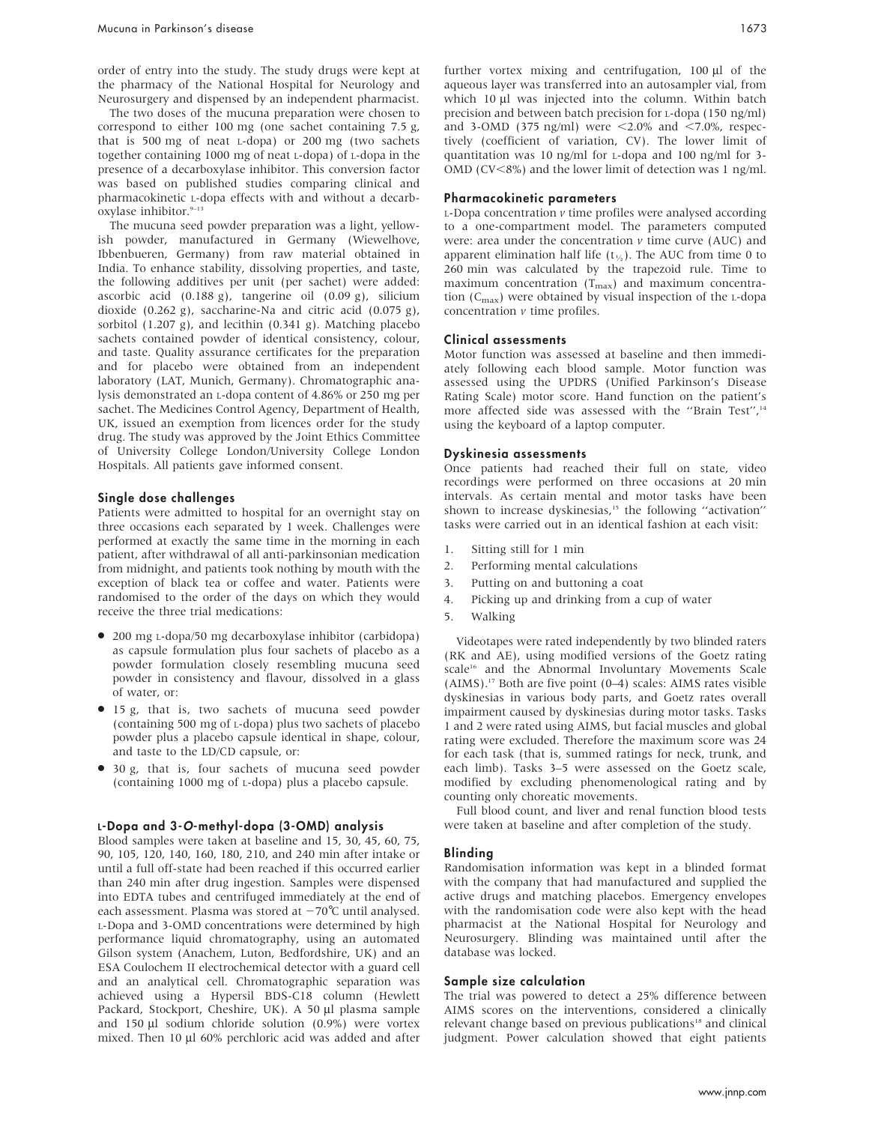order of entry into the study. The study drugs were kept at the pharmacy of the National Hospital for Neurology and Neurosurgery and dispensed by an independent pharmacist.

The two doses of the mucuna preparation were chosen to correspond to either 100 mg (one sachet containing 7.5 g, that is 500 mg of neat L-dopa) or 200 mg (two sachets together containing 1000 mg of neat L-dopa) of L-dopa in the presence of a decarboxylase inhibitor. This conversion factor was based on published studies comparing clinical and pharmacokinetic L-dopa effects with and without a decarboxylase inhibitor.<sup>9-13</sup>

The mucuna seed powder preparation was a light, yellowish powder, manufactured in Germany (Wiewelhove, Ibbenbueren, Germany) from raw material obtained in India. To enhance stability, dissolving properties, and taste, the following additives per unit (per sachet) were added: ascorbic acid (0.188 g), tangerine oil (0.09 g), silicium dioxide (0.262 g), saccharine-Na and citric acid (0.075 g), sorbitol (1.207 g), and lecithin (0.341 g). Matching placebo sachets contained powder of identical consistency, colour, and taste. Quality assurance certificates for the preparation and for placebo were obtained from an independent laboratory (LAT, Munich, Germany). Chromatographic analysis demonstrated an L-dopa content of 4.86% or 250 mg per sachet. The Medicines Control Agency, Department of Health, UK, issued an exemption from licences order for the study drug. The study was approved by the Joint Ethics Committee of University College London/University College London Hospitals. All patients gave informed consent.

#### Single dose challenges

Patients were admitted to hospital for an overnight stay on three occasions each separated by 1 week. Challenges were performed at exactly the same time in the morning in each patient, after withdrawal of all anti-parkinsonian medication from midnight, and patients took nothing by mouth with the exception of black tea or coffee and water. Patients were randomised to the order of the days on which they would receive the three trial medications:

- 200 mg L-dopa/50 mg decarboxylase inhibitor (carbidopa) as capsule formulation plus four sachets of placebo as a powder formulation closely resembling mucuna seed powder in consistency and flavour, dissolved in a glass of water, or:
- $\bullet$  15 g, that is, two sachets of mucuna seed powder (containing 500 mg of L-dopa) plus two sachets of placebo powder plus a placebo capsule identical in shape, colour, and taste to the LD/CD capsule, or:
- 30 g, that is, four sachets of mucuna seed powder (containing 1000 mg of L-dopa) plus a placebo capsule.

#### L-Dopa and 3-O-methyl-dopa (3-OMD) analysis

Blood samples were taken at baseline and 15, 30, 45, 60, 75, 90, 105, 120, 140, 160, 180, 210, and 240 min after intake or until a full off-state had been reached if this occurred earlier than 240 min after drug ingestion. Samples were dispensed into EDTA tubes and centrifuged immediately at the end of each assessment. Plasma was stored at  $-70^{\circ}$ C until analysed. L-Dopa and 3-OMD concentrations were determined by high performance liquid chromatography, using an automated Gilson system (Anachem, Luton, Bedfordshire, UK) and an ESA Coulochem II electrochemical detector with a guard cell and an analytical cell. Chromatographic separation was achieved using a Hypersil BDS-C18 column (Hewlett Packard, Stockport, Cheshire, UK). A 50 µl plasma sample and 150  $\mu$ l sodium chloride solution (0.9%) were vortex mixed. Then 10 µl 60% perchloric acid was added and after further vortex mixing and centrifugation,  $100 \mu l$  of the aqueous layer was transferred into an autosampler vial, from which 10 µl was injected into the column. Within batch precision and between batch precision for L-dopa (150 ng/ml) and 3-OMD (375 ng/ml) were  $\leq$ 2.0% and  $\leq$ 7.0%, respectively (coefficient of variation, CV). The lower limit of quantitation was 10 ng/ml for L-dopa and 100 ng/ml for 3- OMD (CV<8%) and the lower limit of detection was 1 ng/ml.

#### Pharmacokinetic parameters

 $L$ -Dopa concentration  $\nu$  time profiles were analysed according to a one-compartment model. The parameters computed were: area under the concentration  $\nu$  time curve (AUC) and apparent elimination half life  $(t_{\kappa})$ . The AUC from time 0 to 260 min was calculated by the trapezoid rule. Time to maximum concentration  $(T_{\text{max}})$  and maximum concentration  $(C_{\text{max}})$  were obtained by visual inspection of the L-dopa concentration  $\nu$  time profiles.

#### Clinical assessments

Motor function was assessed at baseline and then immediately following each blood sample. Motor function was assessed using the UPDRS (Unified Parkinson's Disease Rating Scale) motor score. Hand function on the patient's more affected side was assessed with the "Brain Test",<sup>14</sup> using the keyboard of a laptop computer.

#### Dyskinesia assessments

Once patients had reached their full on state, video recordings were performed on three occasions at 20 min intervals. As certain mental and motor tasks have been shown to increase dyskinesias,<sup>15</sup> the following "activation" tasks were carried out in an identical fashion at each visit:

- 1. Sitting still for 1 min
- 2. Performing mental calculations
- 3. Putting on and buttoning a coat
- 4. Picking up and drinking from a cup of water
- 5. Walking

Videotapes were rated independently by two blinded raters (RK and AE), using modified versions of the Goetz rating scale<sup>16</sup> and the Abnormal Involuntary Movements Scale (AIMS).17 Both are five point (0–4) scales: AIMS rates visible dyskinesias in various body parts, and Goetz rates overall impairment caused by dyskinesias during motor tasks. Tasks 1 and 2 were rated using AIMS, but facial muscles and global rating were excluded. Therefore the maximum score was 24 for each task (that is, summed ratings for neck, trunk, and each limb). Tasks 3–5 were assessed on the Goetz scale, modified by excluding phenomenological rating and by counting only choreatic movements.

Full blood count, and liver and renal function blood tests were taken at baseline and after completion of the study.

#### Blinding

Randomisation information was kept in a blinded format with the company that had manufactured and supplied the active drugs and matching placebos. Emergency envelopes with the randomisation code were also kept with the head pharmacist at the National Hospital for Neurology and Neurosurgery. Blinding was maintained until after the database was locked.

#### Sample size calculation

The trial was powered to detect a 25% difference between AIMS scores on the interventions, considered a clinically relevant change based on previous publications<sup>18</sup> and clinical judgment. Power calculation showed that eight patients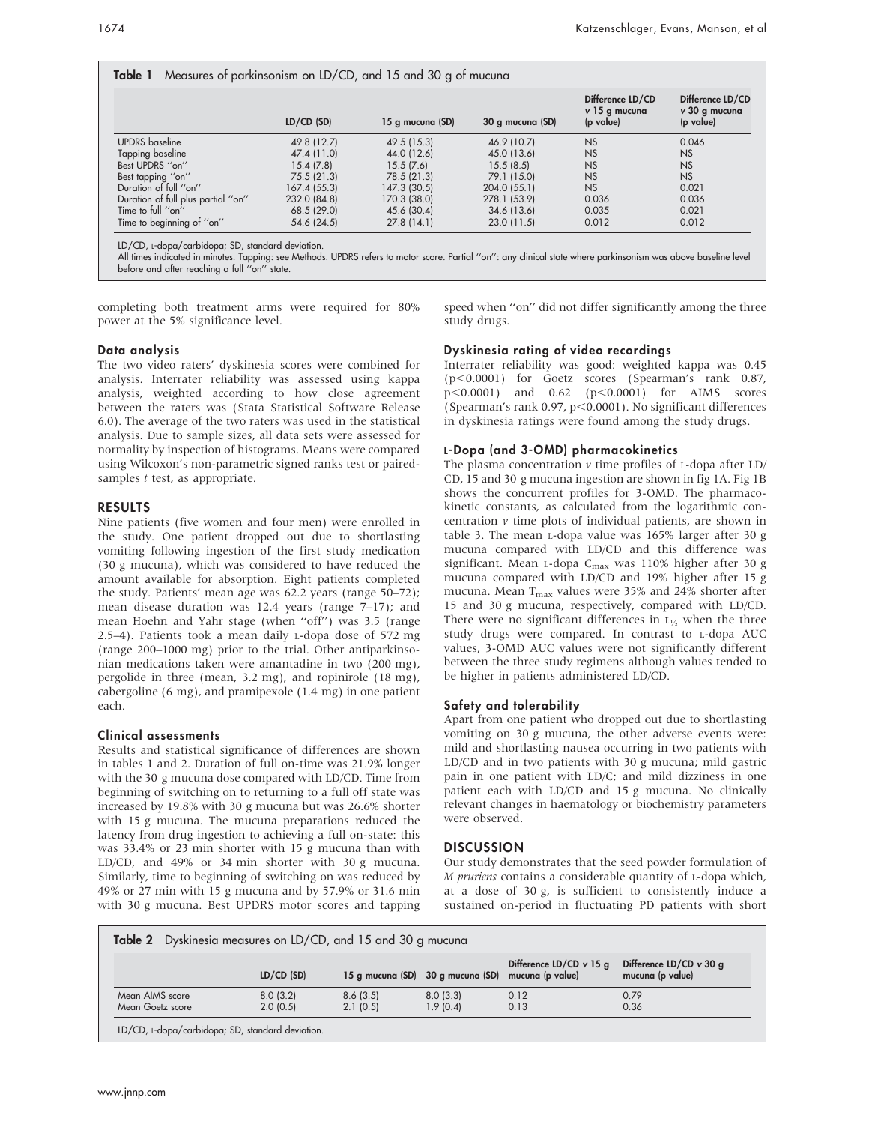|                                    | $LD/CD$ (SD) | 15 g mucuna (SD) | 30 g mucuna (SD) | Difference LD/CD<br>v 15 g mucuna<br>(p value) | Difference LD/CD<br>v 30 g mucuna<br>(p value) |
|------------------------------------|--------------|------------------|------------------|------------------------------------------------|------------------------------------------------|
| <b>UPDRS</b> baseline              | 49.8 (12.7)  | 49.5 (15.3)      | 46.9 (10.7)      | <b>NS</b>                                      | 0.046                                          |
| Tapping baseline                   | 47.4 (11.0)  | 44.0 (12.6)      | 45.0 (13.6)      | <b>NS</b>                                      | <b>NS</b>                                      |
| Best UPDRS "on"                    | 15.4(7.8)    | 15.5(7.6)        | 15.5(8.5)        | <b>NS</b>                                      | <b>NS</b>                                      |
| Best tapping "on"                  | 75.5 (21.3)  | 78.5 (21.3)      | 79.1 (15.0)      | <b>NS</b>                                      | <b>NS</b>                                      |
| Duration of full "on"              | 167.4 (55.3) | 147.3 (30.5)     | 204.0 (55.1)     | <b>NS</b>                                      | 0.021                                          |
| Duration of full plus partial "on" | 232.0 (84.8) | 170.3 (38.0)     | 278.1 (53.9)     | 0.036                                          | 0.036                                          |
| Time to full "on"                  | 68.5 (29.0)  | 45.6 (30.4)      | 34.6 (13.6)      | 0.035                                          | 0.021                                          |
| Time to beginning of "on"          | 54.6 (24.5)  | 27.8(14.1)       | 23.0(11.5)       | 0.012                                          | 0.012                                          |

All times indicated in minutes. Tapping: see Methods. UPDRS refers to motor score. Partial ''on'': any clinical state where parkinsonism was above baseline level

before and after reaching a full ''on'' state.

completing both treatment arms were required for 80% power at the 5% significance level.

speed when ''on'' did not differ significantly among the three study drugs.

## Data analysis

The two video raters' dyskinesia scores were combined for analysis. Interrater reliability was assessed using kappa analysis, weighted according to how close agreement between the raters was (Stata Statistical Software Release 6.0). The average of the two raters was used in the statistical analysis. Due to sample sizes, all data sets were assessed for normality by inspection of histograms. Means were compared using Wilcoxon's non-parametric signed ranks test or pairedsamples t test, as appropriate.

## RESULTS

Nine patients (five women and four men) were enrolled in the study. One patient dropped out due to shortlasting vomiting following ingestion of the first study medication (30 g mucuna), which was considered to have reduced the amount available for absorption. Eight patients completed the study. Patients' mean age was 62.2 years (range 50–72); mean disease duration was 12.4 years (range 7–17); and mean Hoehn and Yahr stage (when ''off'') was 3.5 (range 2.5–4). Patients took a mean daily L-dopa dose of 572 mg (range 200–1000 mg) prior to the trial. Other antiparkinsonian medications taken were amantadine in two (200 mg), pergolide in three (mean, 3.2 mg), and ropinirole (18 mg), cabergoline (6 mg), and pramipexole (1.4 mg) in one patient each.

# Clinical assessments

Results and statistical significance of differences are shown in tables 1 and 2. Duration of full on-time was 21.9% longer with the 30 g mucuna dose compared with LD/CD. Time from beginning of switching on to returning to a full off state was increased by 19.8% with 30 g mucuna but was 26.6% shorter with 15 g mucuna. The mucuna preparations reduced the latency from drug ingestion to achieving a full on-state: this was 33.4% or 23 min shorter with 15 g mucuna than with LD/CD, and 49% or 34 min shorter with 30 g mucuna. Similarly, time to beginning of switching on was reduced by 49% or 27 min with 15 g mucuna and by 57.9% or 31.6 min with 30 g mucuna. Best UPDRS motor scores and tapping Dyskinesia rating of video recordings

Interrater reliability was good: weighted kappa was 0.45 (p<0.0001) for Goetz scores (Spearman's rank 0.87,  $p<0.0001$ ) and  $0.62$  ( $p<0.0001$ ) for AIMS scores (Spearman's rank  $0.97$ ,  $p<0.0001$ ). No significant differences in dyskinesia ratings were found among the study drugs.

# L-Dopa (and 3-OMD) pharmacokinetics

The plasma concentration  $\nu$  time profiles of L-dopa after LD/ CD, 15 and 30 g mucuna ingestion are shown in fig 1A. Fig 1B shows the concurrent profiles for 3-OMD. The pharmacokinetic constants, as calculated from the logarithmic concentration  $\nu$  time plots of individual patients, are shown in table 3. The mean L-dopa value was 165% larger after 30 g mucuna compared with LD/CD and this difference was significant. Mean L-dopa C<sub>max</sub> was 110% higher after 30 g mucuna compared with LD/CD and 19% higher after 15 g mucuna. Mean  $T_{\text{max}}$  values were 35% and 24% shorter after 15 and 30 g mucuna, respectively, compared with LD/CD. There were no significant differences in  $t_{\frac{1}{2}}$  when the three study drugs were compared. In contrast to L-dopa AUC values, 3-OMD AUC values were not significantly different between the three study regimens although values tended to be higher in patients administered LD/CD.

# Safety and tolerability

Apart from one patient who dropped out due to shortlasting vomiting on 30 g mucuna, the other adverse events were: mild and shortlasting nausea occurring in two patients with LD/CD and in two patients with 30 g mucuna; mild gastric pain in one patient with LD/C; and mild dizziness in one patient each with LD/CD and 15 g mucuna. No clinically relevant changes in haematology or biochemistry parameters were observed.

# **DISCUSSION**

Our study demonstrates that the seed powder formulation of M pruriens contains a considerable quantity of L-dopa which, at a dose of 30 g, is sufficient to consistently induce a sustained on-period in fluctuating PD patients with short

|                  | LD/CD (SD) |          | 15 g mucuna (SD) 30 g mucuna (SD) | Difference LD/CD $v$ 15 q<br>mucuna (p value) | Difference LD/CD $v$ 30 g<br>mucuna (p value) |
|------------------|------------|----------|-----------------------------------|-----------------------------------------------|-----------------------------------------------|
| Mean AIMS score  | 8.0(3.2)   | 8.6(3.5) | 8.0(3.3)                          | 0.12                                          | 0.79                                          |
| Mean Goetz score | 2.0(0.5)   | 2.1(0.5) | 1.9(0.4)                          | 0.13                                          | 0.36                                          |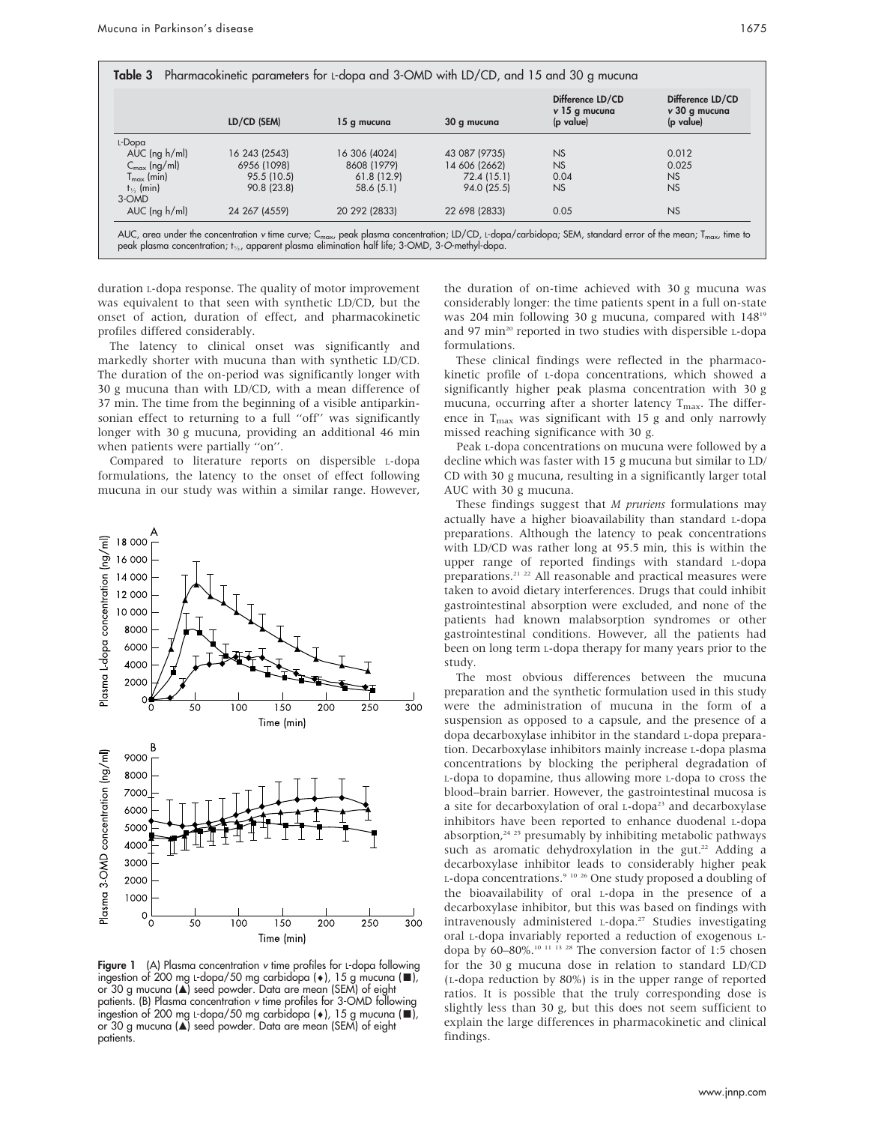|                          | LD/CD (SEM)   | 15 g mucuna   | 30 g mucuna   | Difference LD/CD<br>v 15 g mucuna<br>(p value) | Difference LD/CD<br>v 30 g mucuna<br>(p value) |
|--------------------------|---------------|---------------|---------------|------------------------------------------------|------------------------------------------------|
| L-Dopa                   |               |               |               |                                                |                                                |
| $AUC$ (ng $h/ml$ )       | 16 243 (2543) | 16 306 (4024) | 43 087 (9735) | <b>NS</b>                                      | 0.012                                          |
| $C_{\text{max}}$ (ng/ml) | 6956 (1098)   | 8608 (1979)   | 14 606 (2662) | <b>NS</b>                                      | 0.025                                          |
| $T_{\text{max}}$ (min)   | 95.5 (10.5)   | 61.8(12.9)    | 72.4 (15.1)   | 0.04                                           | NS                                             |
| $t_{\frac{1}{2}}$ (min)  | 90.8 (23.8)   | 58.6(5.1)     | 94.0 (25.5)   | <b>NS</b>                                      | NS                                             |
| 3-OMD                    |               |               |               |                                                |                                                |
| $AUC$ (ng $h/ml$ )       | 24 267 (4559) | 20 292 (2833) | 22 698 (2833) | 0.05                                           | NS                                             |

duration L-dopa response. The quality of motor improvement was equivalent to that seen with synthetic LD/CD, but the onset of action, duration of effect, and pharmacokinetic profiles differed considerably.

The latency to clinical onset was significantly and markedly shorter with mucuna than with synthetic LD/CD. The duration of the on-period was significantly longer with 30 g mucuna than with LD/CD, with a mean difference of 37 min. The time from the beginning of a visible antiparkinsonian effect to returning to a full ''off'' was significantly longer with 30 g mucuna, providing an additional 46 min when patients were partially ''on''.

Compared to literature reports on dispersible L-dopa formulations, the latency to the onset of effect following mucuna in our study was within a similar range. However,



Figure 1 (A) Plasma concentration v time profiles for L-dopa following ingestion of 200 mg L-dopa/50 mg carbidopa ( $\bullet$ ), 15 g mucuna ( $\blacksquare$ ), or 30 g mucuna (A) seed powder. Data are mean (SEM) of eight patients. (B) Plasma concentration v time profiles for 3-OMD following ingestion of 200 mg L-dopa/50 mg carbidopa ( $\bullet$ ), 15 g mucuna ( $\blacksquare$ ), or 30 g mucuna (A) seed powder. Data are mean (SEM) of eight patients.

the duration of on-time achieved with 30 g mucuna was considerably longer: the time patients spent in a full on-state was 204 min following 30 g mucuna, compared with 14819 and 97 min<sup>20</sup> reported in two studies with dispersible L-dopa formulations.

These clinical findings were reflected in the pharmacokinetic profile of L-dopa concentrations, which showed a significantly higher peak plasma concentration with 30 g mucuna, occurring after a shorter latency  $T_{\text{max}}$ . The difference in  $T_{\text{max}}$  was significant with 15 g and only narrowly missed reaching significance with 30 g.

Peak L-dopa concentrations on mucuna were followed by a decline which was faster with 15 g mucuna but similar to LD/ CD with 30 g mucuna, resulting in a significantly larger total AUC with 30 g mucuna.

These findings suggest that  $M$  pruriens formulations may actually have a higher bioavailability than standard L-dopa preparations. Although the latency to peak concentrations with LD/CD was rather long at 95.5 min, this is within the upper range of reported findings with standard L-dopa preparations.<sup>21</sup> <sup>22</sup> All reasonable and practical measures were taken to avoid dietary interferences. Drugs that could inhibit gastrointestinal absorption were excluded, and none of the patients had known malabsorption syndromes or other gastrointestinal conditions. However, all the patients had been on long term L-dopa therapy for many years prior to the study.

The most obvious differences between the mucuna preparation and the synthetic formulation used in this study were the administration of mucuna in the form of a suspension as opposed to a capsule, and the presence of a dopa decarboxylase inhibitor in the standard L-dopa preparation. Decarboxylase inhibitors mainly increase L-dopa plasma concentrations by blocking the peripheral degradation of L-dopa to dopamine, thus allowing more L-dopa to cross the blood–brain barrier. However, the gastrointestinal mucosa is a site for decarboxylation of oral L-dopa<sup>23</sup> and decarboxylase inhibitors have been reported to enhance duodenal L-dopa absorption, $24$   $25$  presumably by inhibiting metabolic pathways such as aromatic dehydroxylation in the gut.<sup>22</sup> Adding a decarboxylase inhibitor leads to considerably higher peak L-dopa concentrations.<sup>9 10 26</sup> One study proposed a doubling of the bioavailability of oral L-dopa in the presence of a decarboxylase inhibitor, but this was based on findings with intravenously administered L-dopa.27 Studies investigating oral L-dopa invariably reported a reduction of exogenous Ldopa by 60–80%.<sup>10 11</sup> <sup>13 28</sup> The conversion factor of 1:5 chosen for the 30 g mucuna dose in relation to standard LD/CD (L-dopa reduction by 80%) is in the upper range of reported ratios. It is possible that the truly corresponding dose is slightly less than 30 g, but this does not seem sufficient to explain the large differences in pharmacokinetic and clinical findings.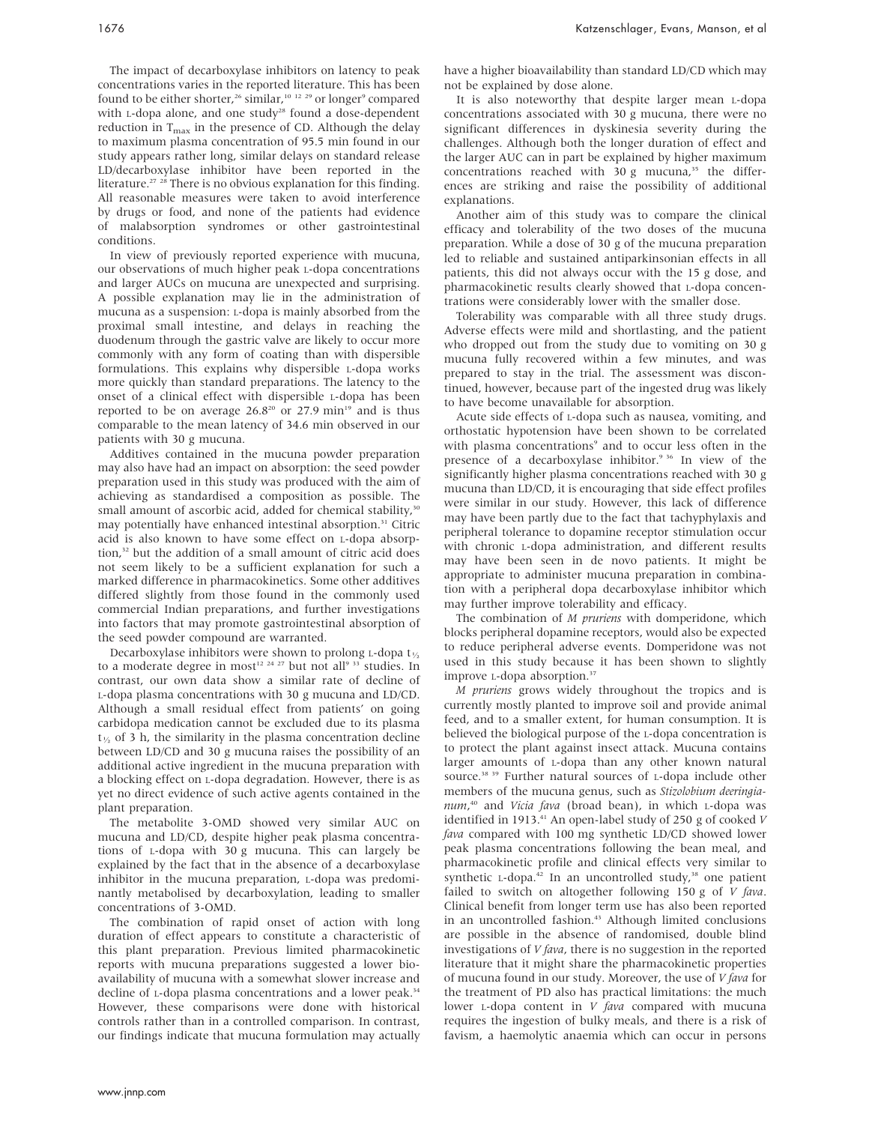The impact of decarboxylase inhibitors on latency to peak concentrations varies in the reported literature. This has been found to be either shorter,<sup>26</sup> similar,<sup>10 12 29</sup> or longer<sup>9</sup> compared with L-dopa alone, and one study<sup>28</sup> found a dose-dependent reduction in  $T_{\text{max}}$  in the presence of CD. Although the delay to maximum plasma concentration of 95.5 min found in our study appears rather long, similar delays on standard release LD/decarboxylase inhibitor have been reported in the literature.<sup>27</sup> <sup>28</sup> There is no obvious explanation for this finding. All reasonable measures were taken to avoid interference by drugs or food, and none of the patients had evidence of malabsorption syndromes or other gastrointestinal conditions.

In view of previously reported experience with mucuna, our observations of much higher peak L-dopa concentrations and larger AUCs on mucuna are unexpected and surprising. A possible explanation may lie in the administration of mucuna as a suspension: L-dopa is mainly absorbed from the proximal small intestine, and delays in reaching the duodenum through the gastric valve are likely to occur more commonly with any form of coating than with dispersible formulations. This explains why dispersible L-dopa works more quickly than standard preparations. The latency to the onset of a clinical effect with dispersible L-dopa has been reported to be on average  $26.8^{20}$  or  $27.9$  min<sup>19</sup> and is thus comparable to the mean latency of 34.6 min observed in our patients with 30 g mucuna.

Additives contained in the mucuna powder preparation may also have had an impact on absorption: the seed powder preparation used in this study was produced with the aim of achieving as standardised a composition as possible. The small amount of ascorbic acid, added for chemical stability,<sup>30</sup> may potentially have enhanced intestinal absorption.<sup>31</sup> Citric acid is also known to have some effect on L-dopa absorption,<sup>32</sup> but the addition of a small amount of citric acid does not seem likely to be a sufficient explanation for such a marked difference in pharmacokinetics. Some other additives differed slightly from those found in the commonly used commercial Indian preparations, and further investigations into factors that may promote gastrointestinal absorption of the seed powder compound are warranted.

Decarboxylase inhibitors were shown to prolong L-dopa  $t_{\frac{1}{2}}$ to a moderate degree in most<sup>12 24 27</sup> but not all<sup>9 33</sup> studies. In contrast, our own data show a similar rate of decline of L-dopa plasma concentrations with 30 g mucuna and LD/CD. Although a small residual effect from patients' on going carbidopa medication cannot be excluded due to its plasma  $t_{\gamma}$  of 3 h, the similarity in the plasma concentration decline between LD/CD and 30 g mucuna raises the possibility of an additional active ingredient in the mucuna preparation with a blocking effect on L-dopa degradation. However, there is as yet no direct evidence of such active agents contained in the plant preparation.

The metabolite 3-OMD showed very similar AUC on mucuna and LD/CD, despite higher peak plasma concentrations of L-dopa with 30 g mucuna. This can largely be explained by the fact that in the absence of a decarboxylase inhibitor in the mucuna preparation, L-dopa was predominantly metabolised by decarboxylation, leading to smaller concentrations of 3-OMD.

The combination of rapid onset of action with long duration of effect appears to constitute a characteristic of this plant preparation. Previous limited pharmacokinetic reports with mucuna preparations suggested a lower bioavailability of mucuna with a somewhat slower increase and decline of L-dopa plasma concentrations and a lower peak.<sup>34</sup> However, these comparisons were done with historical controls rather than in a controlled comparison. In contrast, our findings indicate that mucuna formulation may actually have a higher bioavailability than standard LD/CD which may not be explained by dose alone.

It is also noteworthy that despite larger mean L-dopa concentrations associated with 30 g mucuna, there were no significant differences in dyskinesia severity during the challenges. Although both the longer duration of effect and the larger AUC can in part be explained by higher maximum concentrations reached with  $30 g$  mucuna,<sup>35</sup> the differences are striking and raise the possibility of additional explanations.

Another aim of this study was to compare the clinical efficacy and tolerability of the two doses of the mucuna preparation. While a dose of 30 g of the mucuna preparation led to reliable and sustained antiparkinsonian effects in all patients, this did not always occur with the 15 g dose, and pharmacokinetic results clearly showed that L-dopa concentrations were considerably lower with the smaller dose.

Tolerability was comparable with all three study drugs. Adverse effects were mild and shortlasting, and the patient who dropped out from the study due to vomiting on 30 g mucuna fully recovered within a few minutes, and was prepared to stay in the trial. The assessment was discontinued, however, because part of the ingested drug was likely to have become unavailable for absorption.

Acute side effects of L-dopa such as nausea, vomiting, and orthostatic hypotension have been shown to be correlated with plasma concentrations<sup>9</sup> and to occur less often in the presence of a decarboxylase inhibitor.<sup>9 36</sup> In view of the significantly higher plasma concentrations reached with 30 g mucuna than LD/CD, it is encouraging that side effect profiles were similar in our study. However, this lack of difference may have been partly due to the fact that tachyphylaxis and peripheral tolerance to dopamine receptor stimulation occur with chronic L-dopa administration, and different results may have been seen in de novo patients. It might be appropriate to administer mucuna preparation in combination with a peripheral dopa decarboxylase inhibitor which may further improve tolerability and efficacy.

The combination of M pruriens with domperidone, which blocks peripheral dopamine receptors, would also be expected to reduce peripheral adverse events. Domperidone was not used in this study because it has been shown to slightly improve *L*-dopa absorption.<sup>37</sup>

M pruriens grows widely throughout the tropics and is currently mostly planted to improve soil and provide animal feed, and to a smaller extent, for human consumption. It is believed the biological purpose of the L-dopa concentration is to protect the plant against insect attack. Mucuna contains larger amounts of L-dopa than any other known natural source.<sup>38 39</sup> Further natural sources of L-dopa include other members of the mucuna genus, such as Stizolobium deeringianum,<sup>40</sup> and Vicia fava (broad bean), in which L-dopa was identified in 1913.<sup>41</sup> An open-label study of 250 g of cooked  $V$ fava compared with 100 mg synthetic LD/CD showed lower peak plasma concentrations following the bean meal, and pharmacokinetic profile and clinical effects very similar to synthetic  $L$ -dopa.<sup>42</sup> In an uncontrolled study,<sup>38</sup> one patient failed to switch on altogether following 150 g of  $V$  fava. Clinical benefit from longer term use has also been reported in an uncontrolled fashion.<sup>43</sup> Although limited conclusions are possible in the absence of randomised, double blind investigations of  $V$  fava, there is no suggestion in the reported literature that it might share the pharmacokinetic properties of mucuna found in our study. Moreover, the use of  $V$  fava for the treatment of PD also has practical limitations: the much lower  $L$ -dopa content in  $V$  fava compared with mucuna requires the ingestion of bulky meals, and there is a risk of favism, a haemolytic anaemia which can occur in persons